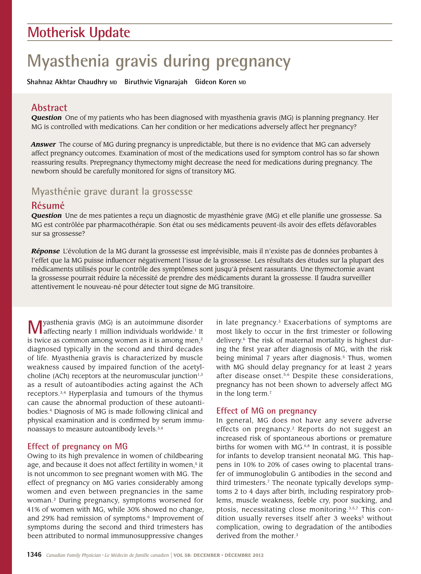# **Motherisk Update**

# **Myasthenia gravis during pregnancy**

**Shahnaz Akhtar Chaudhry MD Biruthvie Vignarajah Gideon Koren MD**

# **Abstract**

*Question*  One of my patients who has been diagnosed with myasthenia gravis (MG) is planning pregnancy. Her MG is controlled with medications. Can her condition or her medications adversely affect her pregnancy?

*Answer* The course of MG during pregnancy is unpredictable, but there is no evidence that MG can adversely affect pregnancy outcomes. Examination of most of the medications used for symptom control has so far shown reassuring results. Prepregnancy thymectomy might decrease the need for medications during pregnancy. The newborn should be carefully monitored for signs of transitory MG.

# **Myasthénie grave durant la grossesse**

# **Résumé**

*Question* Une de mes patientes a reçu un diagnostic de myasthénie grave (MG) et elle planifie une grossesse. Sa MG est contrôlée par pharmacothérapie. Son état ou ses médicaments peuvent-ils avoir des effets défavorables sur sa grossesse?

*Réponse* L'évolution de la MG durant la grossesse est imprévisible, mais il n'existe pas de données probantes à l'effet que la MG puisse influencer négativement l'issue de la grossesse. Les résultats des études sur la plupart des médicaments utilisés pour le contrôle des symptômes sont jusqu'à présent rassurants. Une thymectomie avant la grossesse pourrait réduire la nécessité de prendre des médicaments durant la grossesse. Il faudra surveiller attentivement le nouveau-né pour détecter tout signe de MG transitoire.

**M**yasthenia gravis (MG) is an autoimmune disorder affecting nearly 1 million individuals worldwide.<sup>1</sup> It is twice as common among women as it is among men, $2$ diagnosed typically in the second and third decades of life. Myasthenia gravis is characterized by muscle weakness caused by impaired function of the acetylcholine (ACh) receptors at the neuromuscular junction $1,3$ as a result of autoantibodies acting against the ACh receptors.3,4 Hyperplasia and tumours of the thymus can cause the abnormal production of these autoantibodies.4 Diagnosis of MG is made following clinical and physical examination and is confirmed by serum immunoassays to measure autoantibody levels.3,4

### **Effect of pregnancy on MG**

Owing to its high prevalence in women of childbearing age, and because it does not affect fertility in women,<sup>5</sup> it is not uncommon to see pregnant women with MG. The effect of pregnancy on MG varies considerably among women and even between pregnancies in the same woman.2 During pregnancy, symptoms worsened for 41% of women with MG, while 30% showed no change, and 29% had remission of symptoms.<sup>6</sup> Improvement of symptoms during the second and third trimesters has been attributed to normal immunosuppressive changes

in late pregnancy.3 Exacerbations of symptoms are most likely to occur in the first trimester or following delivery.<sup>6</sup> The risk of maternal mortality is highest during the first year after diagnosis of MG, with the risk being minimal 7 years after diagnosis.<sup>5</sup> Thus, women with MG should delay pregnancy for at least 2 years after disease onset.5,6 Despite these considerations, pregnancy has not been shown to adversely affect MG in the long term.7

### **Effect of MG on pregnancy**

In general, MG does not have any severe adverse effects on pregnancy.2 Reports do not suggest an increased risk of spontaneous abortions or premature births for women with MG.<sup>6,8</sup> In contrast, it is possible for infants to develop transient neonatal MG. This happens in 10% to 20% of cases owing to placental transfer of immunoglobulin G antibodies in the second and third trimesters.7 The neonate typically develops symptoms 2 to 4 days after birth, including respiratory problems, muscle weakness, feeble cry, poor sucking, and ptosis, necessitating close monitoring.3,5,7 This condition usually reverses itself after 3 weeks<sup>5</sup> without complication, owing to degradation of the antibodies derived from the mother.3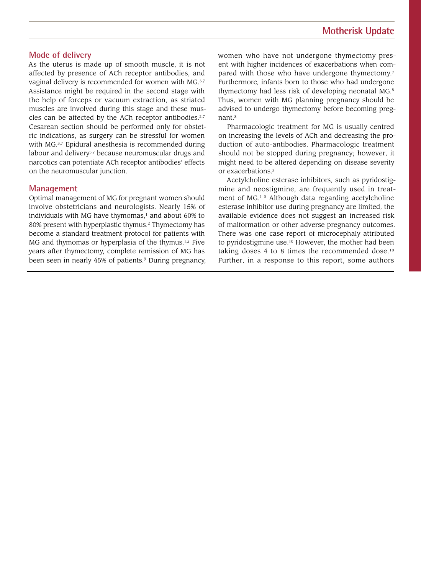### **Mode of delivery**

As the uterus is made up of smooth muscle, it is not affected by presence of ACh receptor antibodies, and vaginal delivery is recommended for women with MG.3,7 Assistance might be required in the second stage with the help of forceps or vacuum extraction, as striated muscles are involved during this stage and these muscles can be affected by the ACh receptor antibodies.<sup>2,7</sup> Cesarean section should be performed only for obstetric indications, as surgery can be stressful for women with MG.<sup>3,7</sup> Epidural anesthesia is recommended during labour and delivery<sup>5,7</sup> because neuromuscular drugs and narcotics can potentiate ACh receptor antibodies' effects on the neuromuscular junction.

#### **Management**

Optimal management of MG for pregnant women should involve obstetricians and neurologists. Nearly 15% of individuals with MG have thymomas, $1$  and about 60% to 80% present with hyperplastic thymus.<sup>2</sup> Thymectomy has become a standard treatment protocol for patients with MG and thymomas or hyperplasia of the thymus.1,2 Five years after thymectomy, complete remission of MG has been seen in nearly 45% of patients.<sup>9</sup> During pregnancy, women who have not undergone thymectomy present with higher incidences of exacerbations when compared with those who have undergone thymectomy.<sup>7</sup> Furthermore, infants born to those who had undergone thymectomy had less risk of developing neonatal MG.8 Thus, women with MG planning pregnancy should be advised to undergo thymectomy before becoming pregnant.8

Pharmacologic treatment for MG is usually centred on increasing the levels of ACh and decreasing the production of auto-antibodies. Pharmacologic treatment should not be stopped during pregnancy; however, it might need to be altered depending on disease severity or exacerbations.<sup>2</sup>

Acetylcholine esterase inhibitors, such as pyridostigmine and neostigmine, are frequently used in treatment of MG.<sup>1-3</sup> Although data regarding acetylcholine esterase inhibitor use during pregnancy are limited, the available evidence does not suggest an increased risk of malformation or other adverse pregnancy outcomes. There was one case report of microcephaly attributed to pyridostigmine use.<sup>10</sup> However, the mother had been taking doses 4 to 8 times the recommended dose.<sup>10</sup> Further, in a response to this report, some authors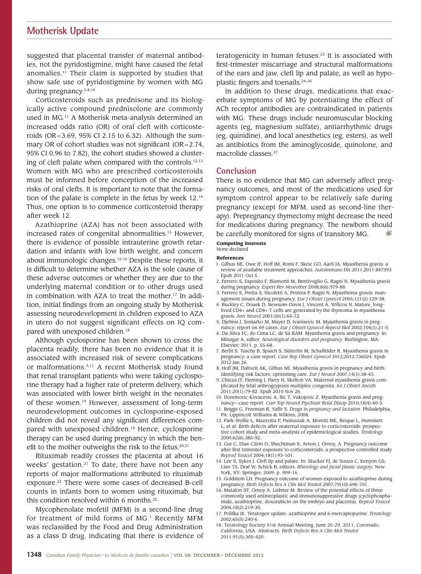### **Motherisk Update**

suggested that placental transfer of maternal antibodies, not the pyridostigmine, might have caused the fetal anomalies.11 Their claim is supported by studies that show safe use of pyridostigmine by women with MG during pregnancy.<sup>5,8,10</sup>

Corticosteroids such as prednisone and its biologically active compound prednisolone are commonly used in MG.<sup>11</sup> A Motherisk meta-analysis determined an increased odds ratio (OR) of oral cleft with corticosteroids (OR=3.69, 95% CI 2.15 to 6.32). Although the summary OR of cohort studies was not significant (OR=2.74, 95% CI 0.96 to 7.82), the cohort studies showed a clustering of cleft palate when compared with the controls.<sup>12,13</sup> Women with MG who are prescribed corticosteroids must be informed before conception of the increased risks of oral clefts. It is important to note that the formation of the palate is complete in the fetus by week 12.14 Thus, one option is to commence corticosteroid therapy after week 12.

Azathioprine (AZA) has not been associated with increased rates of congenital abnormalities.15 However, there is evidence of possible intrauterine growth retardation and infants with low birth weight, and concern about immunologic changes.15,16 Despite these reports, it is difficult to determine whether AZA is the sole cause of these adverse outcomes or whether they are due to the underlying maternal condition or to other drugs used in combination with AZA to treat the mother.17 In addition, initial findings from an ongoing study by Motherisk assessing neurodevelopment in children exposed to AZA in utero do not suggest significant effects on IQ compared with unexposed children.<sup>18</sup>

Although cyclosporine has been shown to cross the placenta readily, there has been no evidence that it is associated with increased risk of severe complications or malformations.<sup>3,11</sup> A recent Motherisk study found that renal transplant patients who were taking cyclosporine therapy had a higher rate of preterm delivery, which was associated with lower birth weight in the neonates of these women.19 However, assessment of long-term neurodevelopment outcomes in cyclosporine-exposed children did not reveal any significant differences compared with unexposed children.<sup>19</sup> Hence, cyclosporine therapy can be used during pregnancy in which the benefit to the mother outweighs the risk to the fetus.<sup>20,21</sup>

Rituximab readily crosses the placenta at about 16 weeks' gestation.<sup>21</sup> To date, there have not been any reports of major malformations attributed to rituximab exposure.22 There were some cases of decreased B-cell counts in infants born to women using rituximab, but this condition resolved within 6 months.<sup>22</sup>

Mycophenolate mofetil (MFM) is a second-line drug for treatment of mild forms of MG.<sup>1</sup> Recently MFM was reclassified by the Food and Drug Administration as a class D drug, indicating that there is evidence of teratogenicity in human fetuses.23 It is associated with first-trimester miscarriage and structural malformations of the ears and jaw, cleft lip and palate, as well as hypoplastic fingers and toenails.24-26

In addition to these drugs, medications that exacerbate symptoms of MG by potentiating the effect of ACh receptor antibodies are contraindicated in patients with MG. These drugs include neuromuscular blocking agents (eg, magnesium sulfate), antiarrhythmic drugs (eg, quinidine), and local anesthetics (eg, esters), as well as antibiotics from the aminoglycoside, quinolone, and macrolide classes.27

#### **Conclusion**

There is no evidence that MG can adversely affect pregnancy outcomes, and most of the medications used for symptom control appear to be relatively safe during pregnancy (except for MFM, used as second-line therapy). Prepregnancy thymectomy might decrease the need for medications during pregnancy. The newborn should be carefully monitored for signs of transitory MG.

#### **Competing interests** None declared

#### **References**

- 1. Gilhus NE, Owe JF, Hoff JM, Romi F, Skeie GO, Aarli JA*.* Myasthenia gravis: a review of available treatment approaches. *Autoimmune Dis* 2011;2011:847393. Epub 2011 Oct 5.
- 2. Ferrero S, Esposito F, Biamonti M, Bentivoglio G, Ragni N. Myasthenia gravis during pregnancy. *Expert Rev Neurother* 2008;8(6):979-88.
- 3. Ferrero S, Pretta S, Nicoletti A, Petrera P, Ragni N. Myasthenia gravis: management issues during pregnancy. *Eur J Obstet Gynecol* 2005;121(2):129-38.
- 4. Buckley C, Douek D, Newsom-Davis J, Vincent A, Willcox N. Mature, longlived CD4+ and CD8+ T cells are generated by the thymoma in myasthenia gravis. *Ann Neurol* 2001;50(1):64-72.
- 5. Djelmis J, Sostarko M, Mayer D, Ivanisevic M. Myasthenia gravis in preg-nancy: report on 69 cases. *Eur J Obstet Gynecol Reprod Biol* 2002;104(1):21-5*.*
- 6. Da Silva FC, do Cima LC, de Sá RAM. Myasthenia gravis and pregnancy. In: Minagar A, editor. *Neurological disorders and pregnancy.* Burlington, MA: Elsevier; 2011. p. 55-68.
- 7. Berlit S, Tuschy B, Spaich S, Sütterlin M, Schaffelder R. Myasthenia gravis in pregnancy: a case report. *Case Rep Obstet Gynecol* 2012;2012:736024. Epub 2012 Jan 26.
- 8. Hoff JM, Daltveit AK, Gilhus NE. Myasthenia gravis in pregnancy and birth: identifying risk factors, optimising care. *Eur J Neurol* 2007;14(1):38-43.
- 9. Chieza JT, Fleming I, Parry N, Skelton VA. Maternal myasthenia gravis complicated by fetal arthrogryposis multiplex congenita. *Int J Obstet Anesth* 2011;20(1):79-82. Epub 2010 Nov 26.
- 10. Dominovic-Kovacevic A, Ilic T, Vukojevic Z. Myasthenia gravis and pregnancy—case report. *Curr Top Neurol Psychiatr Relat Discip* 2010;18(4):40-3.
- 11. Briggs G, Freeman R, Yaffe S. *Drugs in pregnancy and lactation*. Philadelphia, PA: Lippincott Williams & Wilkins; 2008.
- 12. Park-Wyllie L, Mazzotta P, Pastuszak A, Moretti ME, Beique L, Hunnisett L, et al*.* Birth defects after maternal exposure to corticosteroids: prospective cohort study and meta-analysis of epidemiological studies. *Teratology* 2000;62(6):385-92.
- 13. Gur C, Diav-Citrin O, Shechtman S, Arnon J, Ornoy, A. Pregnancy outcome after first trimester exposure to corticosteroids: a prospective controlled study. *Reprod Toxicol* 2004;18(1):93-101.
- 14. Lee S, Sykes J. Cleft lip and palate. In: Stucker FJ, de Souza C, Kenyon GS, Lian TS, Draf W, Schick B, editors. *Rhinology and facial plastic surgery.* New York, NY: Springer; 2009. p. 909-16.
- 15. Goldstein LH. Pregnancy outcome of women exposed to azathioprine during pregnancy. *Birth Defects Res A Clin Mol Teratol* 2007;79(10):696-701.
- 16. Matalon ST, Ornoy A, Lishner M. Review of the potential effects of three commonly used antineoplastic and immunosuppressive drugs (cyclophosphamide, azathioprine, doxorubicin on the embryo and placenta). *Reprod Toxicol* 2004;18(2):219-30.
- 17. Polifka JE. Teratogen update: azathioprine and 6-mercaptopurine. *Teratology* 2002;65(5):240-6.
- 18. Teratology Society 51st Annual Meeting, June 25-29, 2011, Coronado, California, USA. Abstracts. *Birth Defects Res A Clin Mol Teratol* 2011;91(5):305-420.